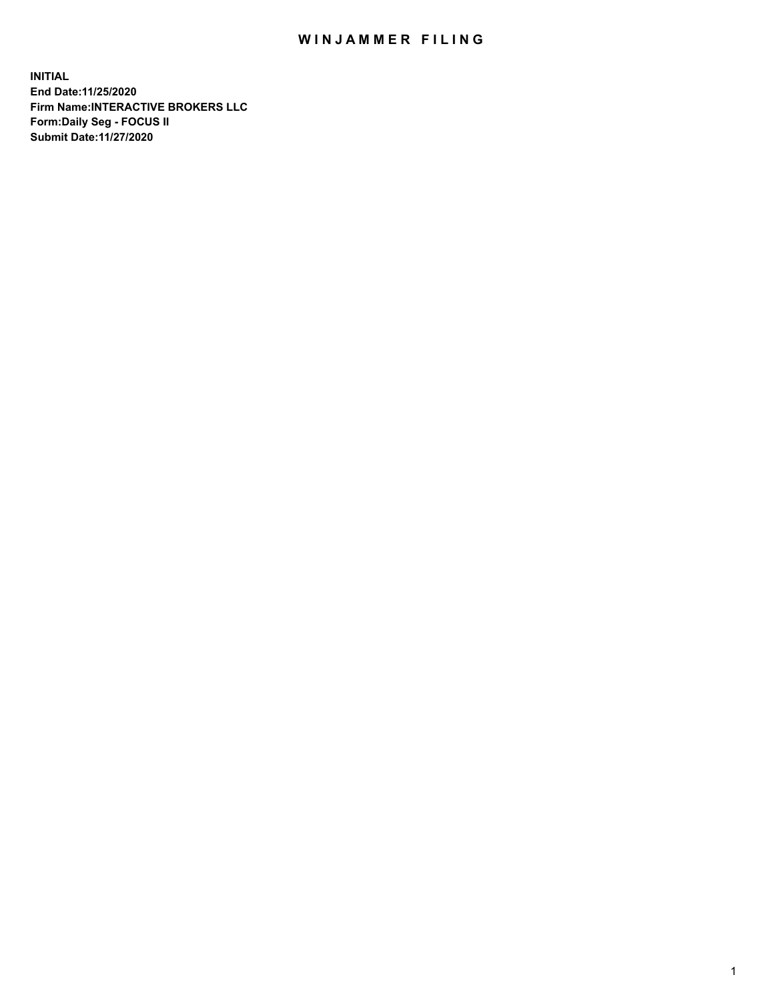## WIN JAMMER FILING

**INITIAL End Date:11/25/2020 Firm Name:INTERACTIVE BROKERS LLC Form:Daily Seg - FOCUS II Submit Date:11/27/2020**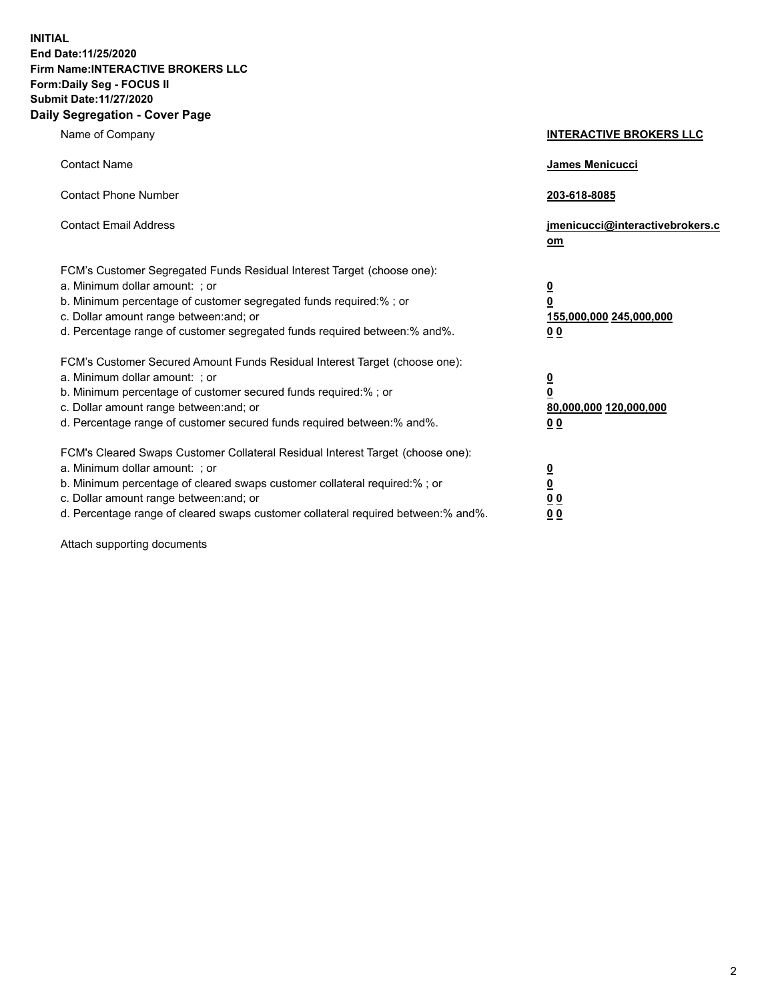**INITIAL End Date:11/25/2020 Firm Name:INTERACTIVE BROKERS LLC Form:Daily Seg - FOCUS II Submit Date:11/27/2020 Daily Segregation - Cover Page**

| Name of Company                                                                                                                                                                                                                                                                                                                | <b>INTERACTIVE BROKERS LLC</b>                                                                           |
|--------------------------------------------------------------------------------------------------------------------------------------------------------------------------------------------------------------------------------------------------------------------------------------------------------------------------------|----------------------------------------------------------------------------------------------------------|
| <b>Contact Name</b>                                                                                                                                                                                                                                                                                                            | James Menicucci                                                                                          |
| <b>Contact Phone Number</b>                                                                                                                                                                                                                                                                                                    | 203-618-8085                                                                                             |
| <b>Contact Email Address</b>                                                                                                                                                                                                                                                                                                   | jmenicucci@interactivebrokers.c<br>om                                                                    |
| FCM's Customer Segregated Funds Residual Interest Target (choose one):<br>a. Minimum dollar amount: ; or<br>b. Minimum percentage of customer segregated funds required:% ; or<br>c. Dollar amount range between: and; or<br>d. Percentage range of customer segregated funds required between:% and%.                         | $\overline{\mathbf{0}}$<br>$\overline{\mathbf{0}}$<br>155,000,000 245,000,000<br>0 <sub>0</sub>          |
| FCM's Customer Secured Amount Funds Residual Interest Target (choose one):<br>a. Minimum dollar amount: ; or<br>b. Minimum percentage of customer secured funds required:%; or<br>c. Dollar amount range between: and; or<br>d. Percentage range of customer secured funds required between:% and%.                            | $\overline{\mathbf{0}}$<br>$\overline{\mathbf{0}}$<br>80,000,000 120,000,000<br>00                       |
| FCM's Cleared Swaps Customer Collateral Residual Interest Target (choose one):<br>a. Minimum dollar amount: ; or<br>b. Minimum percentage of cleared swaps customer collateral required:% ; or<br>c. Dollar amount range between: and; or<br>d. Percentage range of cleared swaps customer collateral required between:% and%. | $\overline{\mathbf{0}}$<br>$\underline{\mathbf{0}}$<br>$\underline{0}$ $\underline{0}$<br>0 <sub>0</sub> |

Attach supporting documents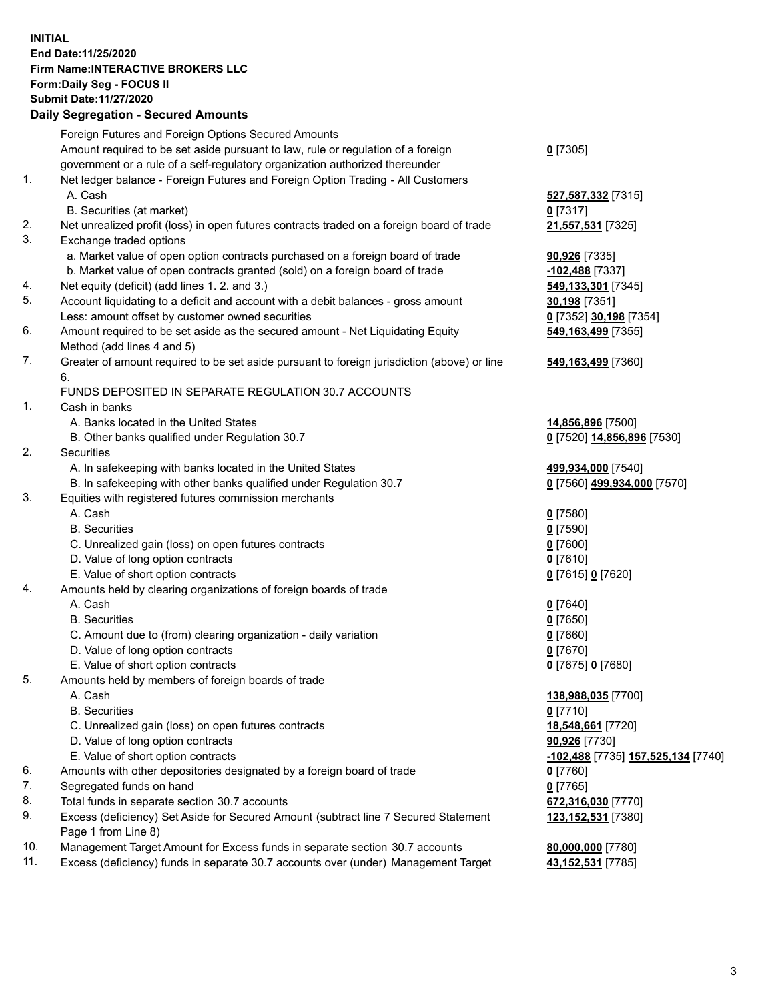**INITIAL End Date:11/25/2020 Firm Name:INTERACTIVE BROKERS LLC Form:Daily Seg - FOCUS II Submit Date:11/27/2020 Daily Segregation - Secured Amounts**

| Foreign Futures and Foreign Options Secured Amounts |                                                                                                                                                                                                                                                                                                                                                                                                                                                                                                                                                                                                                                                                                                                                                                                                                                                                                                                                                                                                                                                                                                                                                                                                                                                                                                                                                                                                                                                                                                                                                                                                                                                                                                                                                                                                                                                                                                                                                                                                                                                                                                                                                                                                                                                                                                                                                                                                                                                                         |
|-----------------------------------------------------|-------------------------------------------------------------------------------------------------------------------------------------------------------------------------------------------------------------------------------------------------------------------------------------------------------------------------------------------------------------------------------------------------------------------------------------------------------------------------------------------------------------------------------------------------------------------------------------------------------------------------------------------------------------------------------------------------------------------------------------------------------------------------------------------------------------------------------------------------------------------------------------------------------------------------------------------------------------------------------------------------------------------------------------------------------------------------------------------------------------------------------------------------------------------------------------------------------------------------------------------------------------------------------------------------------------------------------------------------------------------------------------------------------------------------------------------------------------------------------------------------------------------------------------------------------------------------------------------------------------------------------------------------------------------------------------------------------------------------------------------------------------------------------------------------------------------------------------------------------------------------------------------------------------------------------------------------------------------------------------------------------------------------------------------------------------------------------------------------------------------------------------------------------------------------------------------------------------------------------------------------------------------------------------------------------------------------------------------------------------------------------------------------------------------------------------------------------------------------|
|                                                     | $0$ [7305]                                                                                                                                                                                                                                                                                                                                                                                                                                                                                                                                                                                                                                                                                                                                                                                                                                                                                                                                                                                                                                                                                                                                                                                                                                                                                                                                                                                                                                                                                                                                                                                                                                                                                                                                                                                                                                                                                                                                                                                                                                                                                                                                                                                                                                                                                                                                                                                                                                                              |
|                                                     |                                                                                                                                                                                                                                                                                                                                                                                                                                                                                                                                                                                                                                                                                                                                                                                                                                                                                                                                                                                                                                                                                                                                                                                                                                                                                                                                                                                                                                                                                                                                                                                                                                                                                                                                                                                                                                                                                                                                                                                                                                                                                                                                                                                                                                                                                                                                                                                                                                                                         |
|                                                     |                                                                                                                                                                                                                                                                                                                                                                                                                                                                                                                                                                                                                                                                                                                                                                                                                                                                                                                                                                                                                                                                                                                                                                                                                                                                                                                                                                                                                                                                                                                                                                                                                                                                                                                                                                                                                                                                                                                                                                                                                                                                                                                                                                                                                                                                                                                                                                                                                                                                         |
| A. Cash                                             | 527,587,332 [7315]                                                                                                                                                                                                                                                                                                                                                                                                                                                                                                                                                                                                                                                                                                                                                                                                                                                                                                                                                                                                                                                                                                                                                                                                                                                                                                                                                                                                                                                                                                                                                                                                                                                                                                                                                                                                                                                                                                                                                                                                                                                                                                                                                                                                                                                                                                                                                                                                                                                      |
|                                                     | $0$ [7317]                                                                                                                                                                                                                                                                                                                                                                                                                                                                                                                                                                                                                                                                                                                                                                                                                                                                                                                                                                                                                                                                                                                                                                                                                                                                                                                                                                                                                                                                                                                                                                                                                                                                                                                                                                                                                                                                                                                                                                                                                                                                                                                                                                                                                                                                                                                                                                                                                                                              |
|                                                     | 21,557,531 [7325]                                                                                                                                                                                                                                                                                                                                                                                                                                                                                                                                                                                                                                                                                                                                                                                                                                                                                                                                                                                                                                                                                                                                                                                                                                                                                                                                                                                                                                                                                                                                                                                                                                                                                                                                                                                                                                                                                                                                                                                                                                                                                                                                                                                                                                                                                                                                                                                                                                                       |
|                                                     |                                                                                                                                                                                                                                                                                                                                                                                                                                                                                                                                                                                                                                                                                                                                                                                                                                                                                                                                                                                                                                                                                                                                                                                                                                                                                                                                                                                                                                                                                                                                                                                                                                                                                                                                                                                                                                                                                                                                                                                                                                                                                                                                                                                                                                                                                                                                                                                                                                                                         |
|                                                     | 90,926 [7335]                                                                                                                                                                                                                                                                                                                                                                                                                                                                                                                                                                                                                                                                                                                                                                                                                                                                                                                                                                                                                                                                                                                                                                                                                                                                                                                                                                                                                                                                                                                                                                                                                                                                                                                                                                                                                                                                                                                                                                                                                                                                                                                                                                                                                                                                                                                                                                                                                                                           |
|                                                     | -102,488 [7337]                                                                                                                                                                                                                                                                                                                                                                                                                                                                                                                                                                                                                                                                                                                                                                                                                                                                                                                                                                                                                                                                                                                                                                                                                                                                                                                                                                                                                                                                                                                                                                                                                                                                                                                                                                                                                                                                                                                                                                                                                                                                                                                                                                                                                                                                                                                                                                                                                                                         |
|                                                     | 549,133,301 [7345]                                                                                                                                                                                                                                                                                                                                                                                                                                                                                                                                                                                                                                                                                                                                                                                                                                                                                                                                                                                                                                                                                                                                                                                                                                                                                                                                                                                                                                                                                                                                                                                                                                                                                                                                                                                                                                                                                                                                                                                                                                                                                                                                                                                                                                                                                                                                                                                                                                                      |
|                                                     | 30,198 [7351]                                                                                                                                                                                                                                                                                                                                                                                                                                                                                                                                                                                                                                                                                                                                                                                                                                                                                                                                                                                                                                                                                                                                                                                                                                                                                                                                                                                                                                                                                                                                                                                                                                                                                                                                                                                                                                                                                                                                                                                                                                                                                                                                                                                                                                                                                                                                                                                                                                                           |
|                                                     | 0 [7352] 30,198 [7354]                                                                                                                                                                                                                                                                                                                                                                                                                                                                                                                                                                                                                                                                                                                                                                                                                                                                                                                                                                                                                                                                                                                                                                                                                                                                                                                                                                                                                                                                                                                                                                                                                                                                                                                                                                                                                                                                                                                                                                                                                                                                                                                                                                                                                                                                                                                                                                                                                                                  |
|                                                     | 549,163,499 [7355]                                                                                                                                                                                                                                                                                                                                                                                                                                                                                                                                                                                                                                                                                                                                                                                                                                                                                                                                                                                                                                                                                                                                                                                                                                                                                                                                                                                                                                                                                                                                                                                                                                                                                                                                                                                                                                                                                                                                                                                                                                                                                                                                                                                                                                                                                                                                                                                                                                                      |
|                                                     |                                                                                                                                                                                                                                                                                                                                                                                                                                                                                                                                                                                                                                                                                                                                                                                                                                                                                                                                                                                                                                                                                                                                                                                                                                                                                                                                                                                                                                                                                                                                                                                                                                                                                                                                                                                                                                                                                                                                                                                                                                                                                                                                                                                                                                                                                                                                                                                                                                                                         |
|                                                     | 549,163,499 [7360]                                                                                                                                                                                                                                                                                                                                                                                                                                                                                                                                                                                                                                                                                                                                                                                                                                                                                                                                                                                                                                                                                                                                                                                                                                                                                                                                                                                                                                                                                                                                                                                                                                                                                                                                                                                                                                                                                                                                                                                                                                                                                                                                                                                                                                                                                                                                                                                                                                                      |
|                                                     |                                                                                                                                                                                                                                                                                                                                                                                                                                                                                                                                                                                                                                                                                                                                                                                                                                                                                                                                                                                                                                                                                                                                                                                                                                                                                                                                                                                                                                                                                                                                                                                                                                                                                                                                                                                                                                                                                                                                                                                                                                                                                                                                                                                                                                                                                                                                                                                                                                                                         |
|                                                     |                                                                                                                                                                                                                                                                                                                                                                                                                                                                                                                                                                                                                                                                                                                                                                                                                                                                                                                                                                                                                                                                                                                                                                                                                                                                                                                                                                                                                                                                                                                                                                                                                                                                                                                                                                                                                                                                                                                                                                                                                                                                                                                                                                                                                                                                                                                                                                                                                                                                         |
|                                                     |                                                                                                                                                                                                                                                                                                                                                                                                                                                                                                                                                                                                                                                                                                                                                                                                                                                                                                                                                                                                                                                                                                                                                                                                                                                                                                                                                                                                                                                                                                                                                                                                                                                                                                                                                                                                                                                                                                                                                                                                                                                                                                                                                                                                                                                                                                                                                                                                                                                                         |
|                                                     | 14,856,896 [7500]                                                                                                                                                                                                                                                                                                                                                                                                                                                                                                                                                                                                                                                                                                                                                                                                                                                                                                                                                                                                                                                                                                                                                                                                                                                                                                                                                                                                                                                                                                                                                                                                                                                                                                                                                                                                                                                                                                                                                                                                                                                                                                                                                                                                                                                                                                                                                                                                                                                       |
|                                                     | 0 [7520] 14,856,896 [7530]                                                                                                                                                                                                                                                                                                                                                                                                                                                                                                                                                                                                                                                                                                                                                                                                                                                                                                                                                                                                                                                                                                                                                                                                                                                                                                                                                                                                                                                                                                                                                                                                                                                                                                                                                                                                                                                                                                                                                                                                                                                                                                                                                                                                                                                                                                                                                                                                                                              |
|                                                     |                                                                                                                                                                                                                                                                                                                                                                                                                                                                                                                                                                                                                                                                                                                                                                                                                                                                                                                                                                                                                                                                                                                                                                                                                                                                                                                                                                                                                                                                                                                                                                                                                                                                                                                                                                                                                                                                                                                                                                                                                                                                                                                                                                                                                                                                                                                                                                                                                                                                         |
|                                                     | 499,934,000 [7540]                                                                                                                                                                                                                                                                                                                                                                                                                                                                                                                                                                                                                                                                                                                                                                                                                                                                                                                                                                                                                                                                                                                                                                                                                                                                                                                                                                                                                                                                                                                                                                                                                                                                                                                                                                                                                                                                                                                                                                                                                                                                                                                                                                                                                                                                                                                                                                                                                                                      |
|                                                     | 0 [7560] 499,934,000 [7570]                                                                                                                                                                                                                                                                                                                                                                                                                                                                                                                                                                                                                                                                                                                                                                                                                                                                                                                                                                                                                                                                                                                                                                                                                                                                                                                                                                                                                                                                                                                                                                                                                                                                                                                                                                                                                                                                                                                                                                                                                                                                                                                                                                                                                                                                                                                                                                                                                                             |
|                                                     |                                                                                                                                                                                                                                                                                                                                                                                                                                                                                                                                                                                                                                                                                                                                                                                                                                                                                                                                                                                                                                                                                                                                                                                                                                                                                                                                                                                                                                                                                                                                                                                                                                                                                                                                                                                                                                                                                                                                                                                                                                                                                                                                                                                                                                                                                                                                                                                                                                                                         |
|                                                     | $0$ [7580]                                                                                                                                                                                                                                                                                                                                                                                                                                                                                                                                                                                                                                                                                                                                                                                                                                                                                                                                                                                                                                                                                                                                                                                                                                                                                                                                                                                                                                                                                                                                                                                                                                                                                                                                                                                                                                                                                                                                                                                                                                                                                                                                                                                                                                                                                                                                                                                                                                                              |
|                                                     | $0$ [7590]                                                                                                                                                                                                                                                                                                                                                                                                                                                                                                                                                                                                                                                                                                                                                                                                                                                                                                                                                                                                                                                                                                                                                                                                                                                                                                                                                                                                                                                                                                                                                                                                                                                                                                                                                                                                                                                                                                                                                                                                                                                                                                                                                                                                                                                                                                                                                                                                                                                              |
|                                                     | $0$ [7600]                                                                                                                                                                                                                                                                                                                                                                                                                                                                                                                                                                                                                                                                                                                                                                                                                                                                                                                                                                                                                                                                                                                                                                                                                                                                                                                                                                                                                                                                                                                                                                                                                                                                                                                                                                                                                                                                                                                                                                                                                                                                                                                                                                                                                                                                                                                                                                                                                                                              |
|                                                     | $0$ [7610]                                                                                                                                                                                                                                                                                                                                                                                                                                                                                                                                                                                                                                                                                                                                                                                                                                                                                                                                                                                                                                                                                                                                                                                                                                                                                                                                                                                                                                                                                                                                                                                                                                                                                                                                                                                                                                                                                                                                                                                                                                                                                                                                                                                                                                                                                                                                                                                                                                                              |
|                                                     | 0 [7615] 0 [7620]                                                                                                                                                                                                                                                                                                                                                                                                                                                                                                                                                                                                                                                                                                                                                                                                                                                                                                                                                                                                                                                                                                                                                                                                                                                                                                                                                                                                                                                                                                                                                                                                                                                                                                                                                                                                                                                                                                                                                                                                                                                                                                                                                                                                                                                                                                                                                                                                                                                       |
|                                                     |                                                                                                                                                                                                                                                                                                                                                                                                                                                                                                                                                                                                                                                                                                                                                                                                                                                                                                                                                                                                                                                                                                                                                                                                                                                                                                                                                                                                                                                                                                                                                                                                                                                                                                                                                                                                                                                                                                                                                                                                                                                                                                                                                                                                                                                                                                                                                                                                                                                                         |
|                                                     | $0$ [7640]                                                                                                                                                                                                                                                                                                                                                                                                                                                                                                                                                                                                                                                                                                                                                                                                                                                                                                                                                                                                                                                                                                                                                                                                                                                                                                                                                                                                                                                                                                                                                                                                                                                                                                                                                                                                                                                                                                                                                                                                                                                                                                                                                                                                                                                                                                                                                                                                                                                              |
|                                                     | $0$ [7650]                                                                                                                                                                                                                                                                                                                                                                                                                                                                                                                                                                                                                                                                                                                                                                                                                                                                                                                                                                                                                                                                                                                                                                                                                                                                                                                                                                                                                                                                                                                                                                                                                                                                                                                                                                                                                                                                                                                                                                                                                                                                                                                                                                                                                                                                                                                                                                                                                                                              |
|                                                     | $0$ [7660]                                                                                                                                                                                                                                                                                                                                                                                                                                                                                                                                                                                                                                                                                                                                                                                                                                                                                                                                                                                                                                                                                                                                                                                                                                                                                                                                                                                                                                                                                                                                                                                                                                                                                                                                                                                                                                                                                                                                                                                                                                                                                                                                                                                                                                                                                                                                                                                                                                                              |
|                                                     | $0$ [7670]                                                                                                                                                                                                                                                                                                                                                                                                                                                                                                                                                                                                                                                                                                                                                                                                                                                                                                                                                                                                                                                                                                                                                                                                                                                                                                                                                                                                                                                                                                                                                                                                                                                                                                                                                                                                                                                                                                                                                                                                                                                                                                                                                                                                                                                                                                                                                                                                                                                              |
|                                                     | 0 [7675] 0 [7680]                                                                                                                                                                                                                                                                                                                                                                                                                                                                                                                                                                                                                                                                                                                                                                                                                                                                                                                                                                                                                                                                                                                                                                                                                                                                                                                                                                                                                                                                                                                                                                                                                                                                                                                                                                                                                                                                                                                                                                                                                                                                                                                                                                                                                                                                                                                                                                                                                                                       |
|                                                     |                                                                                                                                                                                                                                                                                                                                                                                                                                                                                                                                                                                                                                                                                                                                                                                                                                                                                                                                                                                                                                                                                                                                                                                                                                                                                                                                                                                                                                                                                                                                                                                                                                                                                                                                                                                                                                                                                                                                                                                                                                                                                                                                                                                                                                                                                                                                                                                                                                                                         |
|                                                     | 138,988,035 [7700]                                                                                                                                                                                                                                                                                                                                                                                                                                                                                                                                                                                                                                                                                                                                                                                                                                                                                                                                                                                                                                                                                                                                                                                                                                                                                                                                                                                                                                                                                                                                                                                                                                                                                                                                                                                                                                                                                                                                                                                                                                                                                                                                                                                                                                                                                                                                                                                                                                                      |
|                                                     | $0$ [7710]                                                                                                                                                                                                                                                                                                                                                                                                                                                                                                                                                                                                                                                                                                                                                                                                                                                                                                                                                                                                                                                                                                                                                                                                                                                                                                                                                                                                                                                                                                                                                                                                                                                                                                                                                                                                                                                                                                                                                                                                                                                                                                                                                                                                                                                                                                                                                                                                                                                              |
|                                                     | 18,548,661 [7720]                                                                                                                                                                                                                                                                                                                                                                                                                                                                                                                                                                                                                                                                                                                                                                                                                                                                                                                                                                                                                                                                                                                                                                                                                                                                                                                                                                                                                                                                                                                                                                                                                                                                                                                                                                                                                                                                                                                                                                                                                                                                                                                                                                                                                                                                                                                                                                                                                                                       |
|                                                     | 90,926 [7730]                                                                                                                                                                                                                                                                                                                                                                                                                                                                                                                                                                                                                                                                                                                                                                                                                                                                                                                                                                                                                                                                                                                                                                                                                                                                                                                                                                                                                                                                                                                                                                                                                                                                                                                                                                                                                                                                                                                                                                                                                                                                                                                                                                                                                                                                                                                                                                                                                                                           |
|                                                     | <u>-<b>102,488</b> [</u> 7735] <u><b>157,525,134</b> [7740]</u>                                                                                                                                                                                                                                                                                                                                                                                                                                                                                                                                                                                                                                                                                                                                                                                                                                                                                                                                                                                                                                                                                                                                                                                                                                                                                                                                                                                                                                                                                                                                                                                                                                                                                                                                                                                                                                                                                                                                                                                                                                                                                                                                                                                                                                                                                                                                                                                                         |
|                                                     | $0$ [7760]                                                                                                                                                                                                                                                                                                                                                                                                                                                                                                                                                                                                                                                                                                                                                                                                                                                                                                                                                                                                                                                                                                                                                                                                                                                                                                                                                                                                                                                                                                                                                                                                                                                                                                                                                                                                                                                                                                                                                                                                                                                                                                                                                                                                                                                                                                                                                                                                                                                              |
|                                                     | $0$ [7765]                                                                                                                                                                                                                                                                                                                                                                                                                                                                                                                                                                                                                                                                                                                                                                                                                                                                                                                                                                                                                                                                                                                                                                                                                                                                                                                                                                                                                                                                                                                                                                                                                                                                                                                                                                                                                                                                                                                                                                                                                                                                                                                                                                                                                                                                                                                                                                                                                                                              |
|                                                     | 672,316,030 [7770]                                                                                                                                                                                                                                                                                                                                                                                                                                                                                                                                                                                                                                                                                                                                                                                                                                                                                                                                                                                                                                                                                                                                                                                                                                                                                                                                                                                                                                                                                                                                                                                                                                                                                                                                                                                                                                                                                                                                                                                                                                                                                                                                                                                                                                                                                                                                                                                                                                                      |
|                                                     | 123,152,531 [7380]                                                                                                                                                                                                                                                                                                                                                                                                                                                                                                                                                                                                                                                                                                                                                                                                                                                                                                                                                                                                                                                                                                                                                                                                                                                                                                                                                                                                                                                                                                                                                                                                                                                                                                                                                                                                                                                                                                                                                                                                                                                                                                                                                                                                                                                                                                                                                                                                                                                      |
|                                                     |                                                                                                                                                                                                                                                                                                                                                                                                                                                                                                                                                                                                                                                                                                                                                                                                                                                                                                                                                                                                                                                                                                                                                                                                                                                                                                                                                                                                                                                                                                                                                                                                                                                                                                                                                                                                                                                                                                                                                                                                                                                                                                                                                                                                                                                                                                                                                                                                                                                                         |
|                                                     | 80,000,000 [7780]                                                                                                                                                                                                                                                                                                                                                                                                                                                                                                                                                                                                                                                                                                                                                                                                                                                                                                                                                                                                                                                                                                                                                                                                                                                                                                                                                                                                                                                                                                                                                                                                                                                                                                                                                                                                                                                                                                                                                                                                                                                                                                                                                                                                                                                                                                                                                                                                                                                       |
|                                                     | 43,152,531 [7785]                                                                                                                                                                                                                                                                                                                                                                                                                                                                                                                                                                                                                                                                                                                                                                                                                                                                                                                                                                                                                                                                                                                                                                                                                                                                                                                                                                                                                                                                                                                                                                                                                                                                                                                                                                                                                                                                                                                                                                                                                                                                                                                                                                                                                                                                                                                                                                                                                                                       |
|                                                     | Amount required to be set aside pursuant to law, rule or regulation of a foreign<br>government or a rule of a self-regulatory organization authorized thereunder<br>Net ledger balance - Foreign Futures and Foreign Option Trading - All Customers<br>B. Securities (at market)<br>Net unrealized profit (loss) in open futures contracts traded on a foreign board of trade<br>Exchange traded options<br>a. Market value of open option contracts purchased on a foreign board of trade<br>b. Market value of open contracts granted (sold) on a foreign board of trade<br>Net equity (deficit) (add lines 1. 2. and 3.)<br>Account liquidating to a deficit and account with a debit balances - gross amount<br>Less: amount offset by customer owned securities<br>Amount required to be set aside as the secured amount - Net Liquidating Equity<br>Method (add lines 4 and 5)<br>Greater of amount required to be set aside pursuant to foreign jurisdiction (above) or line<br>6.<br>FUNDS DEPOSITED IN SEPARATE REGULATION 30.7 ACCOUNTS<br>Cash in banks<br>A. Banks located in the United States<br>B. Other banks qualified under Regulation 30.7<br>Securities<br>A. In safekeeping with banks located in the United States<br>B. In safekeeping with other banks qualified under Regulation 30.7<br>Equities with registered futures commission merchants<br>A. Cash<br><b>B.</b> Securities<br>C. Unrealized gain (loss) on open futures contracts<br>D. Value of long option contracts<br>E. Value of short option contracts<br>Amounts held by clearing organizations of foreign boards of trade<br>A. Cash<br><b>B.</b> Securities<br>C. Amount due to (from) clearing organization - daily variation<br>D. Value of long option contracts<br>E. Value of short option contracts<br>Amounts held by members of foreign boards of trade<br>A. Cash<br><b>B.</b> Securities<br>C. Unrealized gain (loss) on open futures contracts<br>D. Value of long option contracts<br>E. Value of short option contracts<br>Amounts with other depositories designated by a foreign board of trade<br>Segregated funds on hand<br>Total funds in separate section 30.7 accounts<br>Excess (deficiency) Set Aside for Secured Amount (subtract line 7 Secured Statement<br>Page 1 from Line 8)<br>Management Target Amount for Excess funds in separate section 30.7 accounts<br>Excess (deficiency) funds in separate 30.7 accounts over (under) Management Target |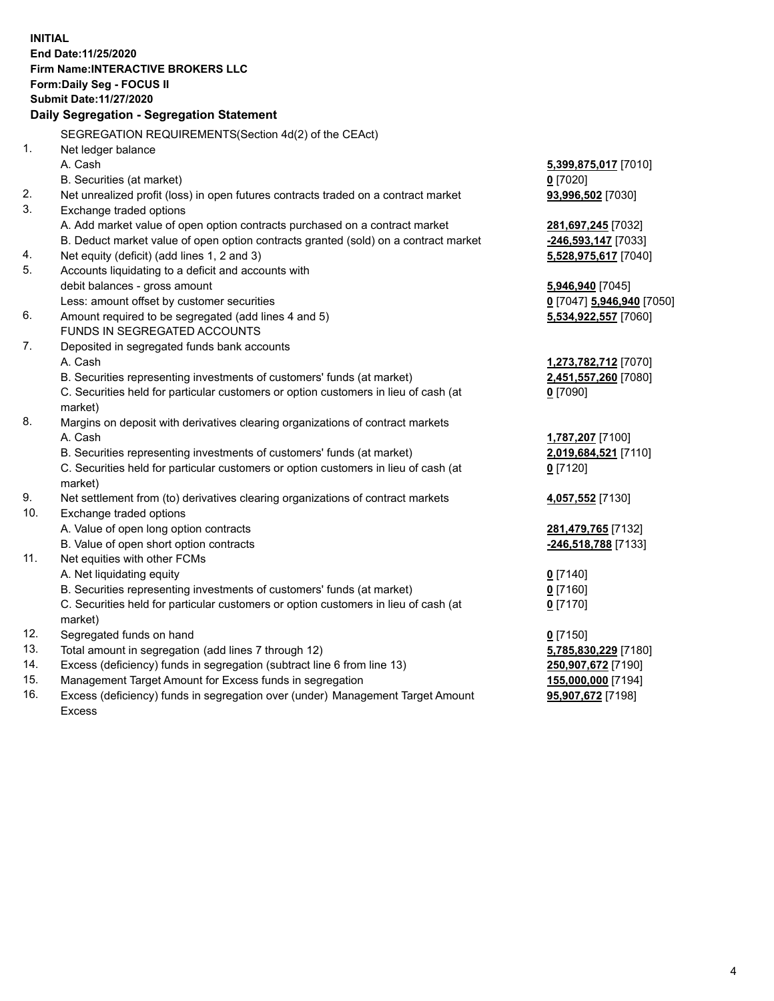**INITIAL End Date:11/25/2020 Firm Name:INTERACTIVE BROKERS LLC Form:Daily Seg - FOCUS II Submit Date:11/27/2020 Daily Segregation - Segregation Statement** SEGREGATION REQUIREMENTS(Section 4d(2) of the CEAct) 1. Net ledger balance A. Cash **5,399,875,017** [7010] B. Securities (at market) **0** [7020] 2. Net unrealized profit (loss) in open futures contracts traded on a contract market **93,996,502** [7030] 3. Exchange traded options A. Add market value of open option contracts purchased on a contract market **281,697,245** [7032] B. Deduct market value of open option contracts granted (sold) on a contract market **-246,593,147** [7033] 4. Net equity (deficit) (add lines 1, 2 and 3) **5,528,975,617** [7040] 5. Accounts liquidating to a deficit and accounts with debit balances - gross amount **5,946,940** [7045] Less: amount offset by customer securities **0** [7047] **5,946,940** [7050] 6. Amount required to be segregated (add lines 4 and 5) **5,534,922,557** [7060] FUNDS IN SEGREGATED ACCOUNTS 7. Deposited in segregated funds bank accounts A. Cash **1,273,782,712** [7070] B. Securities representing investments of customers' funds (at market) **2,451,557,260** [7080] C. Securities held for particular customers or option customers in lieu of cash (at market) **0** [7090] 8. Margins on deposit with derivatives clearing organizations of contract markets A. Cash **1,787,207** [7100] B. Securities representing investments of customers' funds (at market) **2,019,684,521** [7110] C. Securities held for particular customers or option customers in lieu of cash (at market) **0** [7120] 9. Net settlement from (to) derivatives clearing organizations of contract markets **4,057,552** [7130] 10. Exchange traded options A. Value of open long option contracts **281,479,765** [7132] B. Value of open short option contracts **-246,518,788** [7133] 11. Net equities with other FCMs A. Net liquidating equity **0** [7140] B. Securities representing investments of customers' funds (at market) **0** [7160] C. Securities held for particular customers or option customers in lieu of cash (at market) **0** [7170] 12. Segregated funds on hand **0** [7150] 13. Total amount in segregation (add lines 7 through 12) **5,785,830,229** [7180] 14. Excess (deficiency) funds in segregation (subtract line 6 from line 13) **250,907,672** [7190] 15. Management Target Amount for Excess funds in segregation **155,000,000** [7194] **95,907,672** [7198]

16. Excess (deficiency) funds in segregation over (under) Management Target Amount Excess